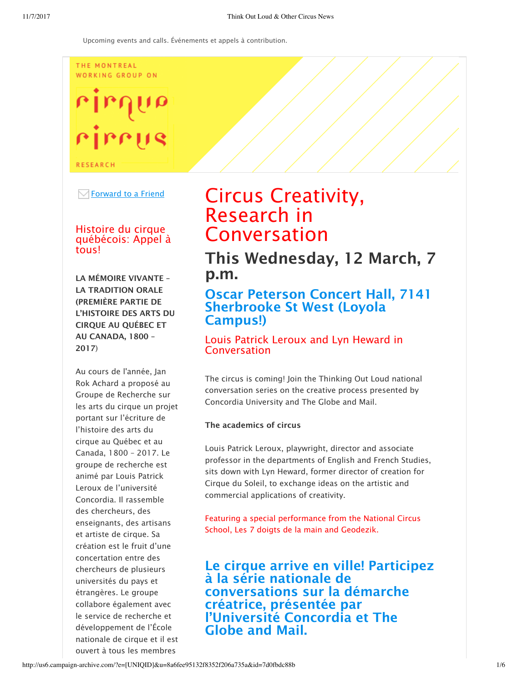#### THE MONTREAL WORKING GROUP ON

# rirrus

**RESEARCH** 

 $\boxdot$  Forward to a Friend

### Histoire du cirque québécois: Appel à tous!

LA MÉMOIRE VIVANTE – LA TRADITION ORALE (PREMIÈRE PARTIE DE L'HISTOIRE DES ARTS DU CIRQUE AU QUÉBEC ET AU CANADA, 1800 – 2017)

Au cours de l'année, Jan Rok Achard a proposé au Groupe de Recherche sur les arts du cirque un projet portant sur l'écriture de l'histoire des arts du cirque au Québec et au Canada, 1800 – 2017. Le groupe de recherche est animé par Louis Patrick Leroux de l'université Concordia. Il rassemble des chercheurs, des enseignants, des artisans et artiste de cirque. Sa création est le fruit d'une concertation entre des chercheurs de plusieurs universités du pays et étrangères. Le groupe collabore également avec le service de recherche et développement de l'École nationale de cirque et il est ouvert à tous les membres

# Circus Creativity, Research in Conversation

This Wednesday, 12 March, 7 p.m.

# Oscar Peterson Concert Hall, 7141 Sherbrooke St West (Loyola Campus!)

# Louis Patrick Leroux and Lyn Heward in Conversation

The circus is coming! Join the Thinking Out Loud national conversation series on the creative process presented by Concordia University and The Globe and Mail.

#### The academics of circus

Louis Patrick Leroux, playwright, director and associate professor in the departments of English and French Studies, sits down with Lyn Heward, former director of creation for Cirque du Soleil, to exchange ideas on the artistic and commercial applications of creativity.

Featuring a special performance from the National Circus School, Les 7 doigts de la main and Geodezik.

Le cirque arrive en ville! Participez à la série nationale de conversations sur la démarche créatrice, présentée par l'Université Concordia et The Globe and Mail.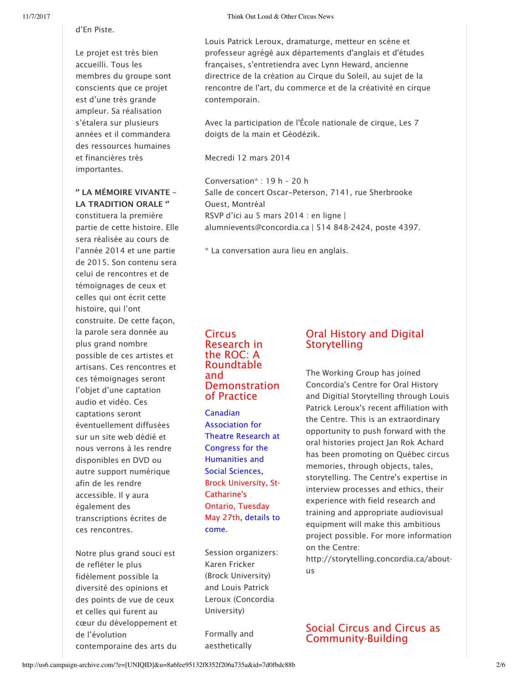d'En Piste.

Le projet est très bien accueilli. Tous les membres du groupe sont conscients que ce projet est d'une très grande ampleur. Sa réalisation s'étalera sur plusieurs années et il commandera des ressources humaines et financières très importantes.

#### '' LA MÉMOIRE VIVANTE – LA TRADITION ORALE ''

constituera la première partie de cette histoire. Elle sera réalisée au cours de l'année 2014 et une partie de 2015. Son contenu sera celui de rencontres et de témoignages de ceux et celles qui ont écrit cette histoire, qui l'ont construite. De cette façon, la parole sera donnée au plus grand nombre possible de ces artistes et artisans. Ces rencontres et ces témoignages seront l'objet d'une captation audio et vidéo. Ces captations seront éventuellement diffusées sur un site web dédié et nous verrons à les rendre disponibles en DVD ou autre support numérique afin de les rendre accessible. Il y aura également des transcriptions écrites de ces rencontres.

Notre plus grand souci est de refléter le plus fidèlement possible la diversité des opinions et des points de vue de ceux et celles qui furent au cœur du développement et de l'évolution contemporaine des arts du

Louis Patrick Leroux, dramaturge, metteur en scène et professeur agrégé aux départements d'anglais et d'études françaises, s'entretiendra avec Lynn Heward, ancienne directrice de la création au Cirque du Soleil, au sujet de la rencontre de l'art, du commerce et de la créativité en cirque contemporain.

Avec la participation de l'École nationale de cirque, Les 7 doigts de la main et Géodézik.

Mecredi 12 mars 2014

Conversation\* : 19 h – 20 h Salle de concert Oscar-Peterson, 7141, rue Sherbrooke Ouest, Montréal RSVP d'ici au 5 mars 2014 : en ligne | alumnievents@concordia.ca | 514 848-2424, poste 4397.

\* La conversation aura lieu en anglais.

#### **Circus** Research in the ROC: A Roundtable and Demonstration of Practice

Canadian Association for Theatre Research at Congress for the Humanities and Social Sciences, Brock University, St-Catharine's Ontario, Tuesday May 27th, details to come.

Session organizers: Karen Fricker (Brock University) and Louis Patrick Leroux (Concordia University)

Formally and aesthetically

# Oral History and Digital Storytelling

The Working Group has joined Concordia's Centre for Oral History and Digitial Storytelling through Louis Patrick Leroux's recent affiliation with the Centre. This is an extraordinary opportunity to push forward with the oral histories project Jan Rok Achard has been promoting on Québec circus memories, through objects, tales, storytelling. The Centre's expertise in interview processes and ethics, their experience with field research and training and appropriate audiovisual equipment will make this ambitious project possible. For more information on the Centre:

http://storytelling.concordia.ca/aboutus

## Social Circus and Circus as Community-Building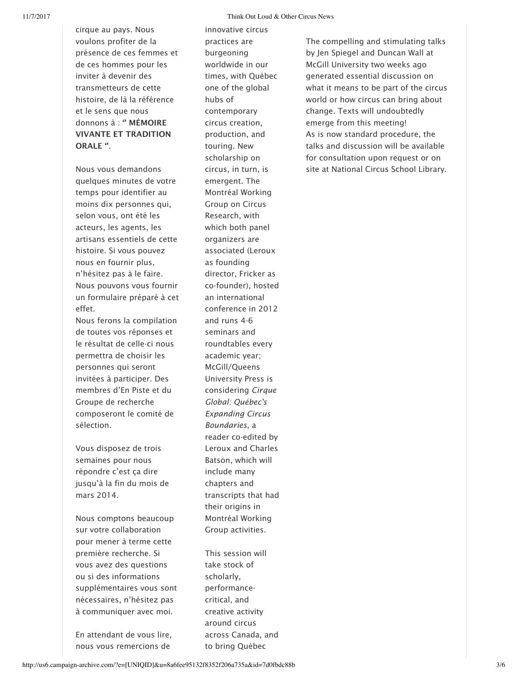cirque au pays. Nous voulons profiter de la présence de ces femmes et de ces hommes pour les inviter à devenir des transmetteurs de cette histoire, de là la référence et le sens que nous donnons à : " MÉMOIRE VIVANTE ET TRADITION ORALE ''.

Nous vous demandons quelques minutes de votre temps pour identifier au moins dix personnes qui, selon vous, ont été les acteurs, les agents, les artisans essentiels de cette histoire. Si vous pouvez nous en fournir plus, n'hésitez pas à le faire. Nous pouvons vous fournir un formulaire préparé à cet effet.

Nous ferons la compilation de toutes vos réponses et le résultat de celle-ci nous permettra de choisir les personnes qui seront invitées à participer. Des membres d'En Piste et du Groupe de recherche composeront le comité de sélection.

Vous disposez de trois semaines pour nous répondre c'est ça dire jusqu'à la fin du mois de mars 2014.

Nous comptons beaucoup sur votre collaboration pour mener à terme cette première recherche. Si vous avez des questions ou si des informations supplémentaires vous sont nécessaires, n'hésitez pas à communiquer avec moi.

En attendant de vous lire, nous vous remercions de

innovative circus practices are burgeoning worldwide in our times, with Québec one of the global hubs of contemporary circus creation, production, and touring. New scholarship on circus, in turn, is emergent. The Montréal Working Group on Circus Research, with which both panel organizers are associated (Leroux as founding director, Fricker as co-founder), hosted an international conference in 2012 and runs 4-6 seminars and roundtables every academic year; McGill/Queens University Press is considering *Cirque Global: Québec's Expanding Circus Boundaries*, a reader co-edited by Leroux and Charles Batson, which will include many chapters and transcripts that had their origins in Montréal Working Group activities.

This session will take stock of scholarly, performancecritical, and creative activity around circus across Canada, and to bring Québec

The compelling and stimulating talks by Jen Spiegel and Duncan Wall at McGill University two weeks ago generated essential discussion on what it means to be part of the circus world or how circus can bring about change. Texts will undoubtedly emerge from this meeting! As is now standard procedure, the talks and discussion will be available for consultation upon request or on site at National Circus School Library.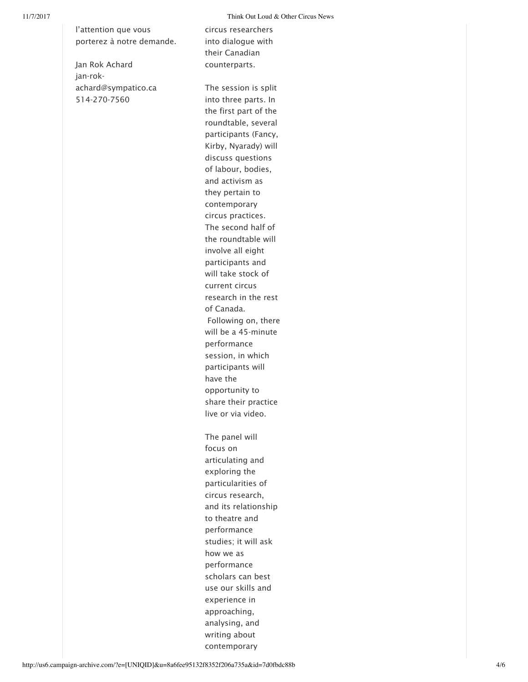l'attention que vous porterez à notre demande.

Jan Rok Achard jan-rokachard@sympatico.ca 514-270-7560

circus researchers into dialogue with their Canadian counterparts.

The session is split into three parts. In the first part of the roundtable, several participants (Fancy, Kirby, Nyarady) will discuss questions of labour, bodies, and activism as they pertain to contemporary circus practices. The second half of the roundtable will involve all eight participants and will take stock of current circus research in the rest of Canada. Following on, there will be a 45-minute performance session, in which participants will have the opportunity to share their practice live or via video. The panel will focus on articulating and exploring the particularities of circus research, and its relationship to theatre and performance studies; it will ask how we as performance scholars can best use our skills and experience in approaching, analysing, and writing about contemporary